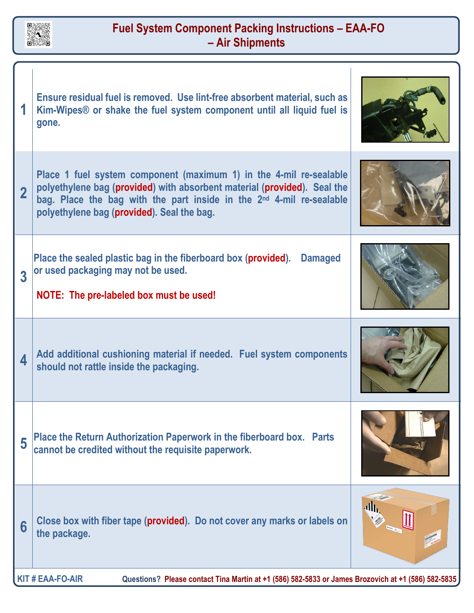

## **Fuel System Component Packing Instructions – EAA-FO – Air Shipments**

 $\mathbf{I}$ 

| 1                                                                                                                             | Ensure residual fuel is removed. Use lint-free absorbent material, such as<br>Kim-Wipes <sup>®</sup> or shake the fuel system component until all liquid fuel is<br>gone.                                                                                                        |  |
|-------------------------------------------------------------------------------------------------------------------------------|----------------------------------------------------------------------------------------------------------------------------------------------------------------------------------------------------------------------------------------------------------------------------------|--|
| $\overline{2}$                                                                                                                | Place 1 fuel system component (maximum 1) in the 4-mil re-sealable<br>polyethylene bag (provided) with absorbent material (provided). Seal the<br>bag. Place the bag with the part inside in the 2 <sup>nd</sup> 4-mil re-sealable<br>polyethylene bag (provided). Seal the bag. |  |
| 3                                                                                                                             | Place the sealed plastic bag in the fiberboard box (provided).<br><b>Damaged</b><br>or used packaging may not be used.<br>NOTE: The pre-labeled box must be used!                                                                                                                |  |
| 4                                                                                                                             | Add additional cushioning material if needed. Fuel system components<br>should not rattle inside the packaging.                                                                                                                                                                  |  |
| 5                                                                                                                             | Place the Return Authorization Paperwork in the fiberboard box.  Parts<br>cannot be credited without the requisite paperwork.                                                                                                                                                    |  |
| 6                                                                                                                             | Close box with fiber tape (provided). Do not cover any marks or labels on<br>the package.                                                                                                                                                                                        |  |
| <b>KIT # EAA-FO-AIR</b><br>Questions? Please contact Tina Martin at +1 (586) 582-5833 or James Brozovich at +1 (586) 582-5835 |                                                                                                                                                                                                                                                                                  |  |